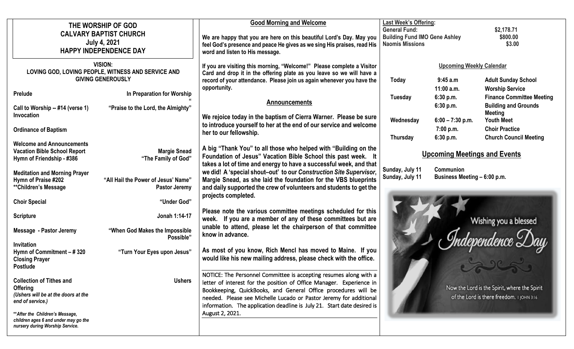| THE WORSHIP OF GOD<br><b>CALVARY BAPTIST CHURCH</b><br><b>July 4, 2021</b><br><b>HAPPY INDEPENDENCE DAY</b>   |                                                                  | <b>Good Morning and Welcome</b><br>We are happy that you are here on this beautiful Lord's Day. May you<br>feel God's presence and peace He gives as we sing His praises, read His<br>word and listen to His message.                                                                                                                                        | <b>Last Week's Offering:</b><br><b>General Fund:</b><br><b>Building Fund IMO Gene Ashley</b><br><b>Naomis Missions</b> |                                           | \$2,178.71<br>\$800.00<br>\$3.00                                                              |
|---------------------------------------------------------------------------------------------------------------|------------------------------------------------------------------|--------------------------------------------------------------------------------------------------------------------------------------------------------------------------------------------------------------------------------------------------------------------------------------------------------------------------------------------------------------|------------------------------------------------------------------------------------------------------------------------|-------------------------------------------|-----------------------------------------------------------------------------------------------|
| <b>VISION:</b><br>LOVING GOD, LOVING PEOPLE, WITNESS AND SERVICE AND<br><b>GIVING GENEROUSLY</b>              |                                                                  | If you are visiting this morning, "Welcome!" Please complete a Visitor<br>Card and drop it in the offering plate as you leave so we will have a<br>record of your attendance. Please join us again whenever you have the                                                                                                                                     | <b>Upcoming Weekly Calendar</b><br>9:45a.m<br><b>Today</b>                                                             |                                           | <b>Adult Sunday School</b>                                                                    |
| Prelude<br>Call to Worship -- #14 (verse 1)                                                                   | In Preparation for Worship<br>"Praise to the Lord, the Almighty" | opportunity.<br><b>Announcements</b>                                                                                                                                                                                                                                                                                                                         | Tuesday                                                                                                                | 11:00 a.m.<br>6:30 p.m.<br>6:30 p.m.      | <b>Worship Service</b><br><b>Finance Committee Meeting</b><br><b>Building and Grounds</b>     |
| Invocation<br><b>Ordinance of Baptism</b>                                                                     |                                                                  | We rejoice today in the baptism of Cierra Warner. Please be sure<br>to introduce yourself to her at the end of our service and welcome<br>her to our fellowship.                                                                                                                                                                                             | Wednesday                                                                                                              | $6:00 - 7:30$ p.m.<br>7:00 p.m.           | <b>Meeting</b><br><b>Youth Meet</b><br><b>Choir Practice</b><br><b>Church Council Meeting</b> |
| <b>Welcome and Announcements</b><br><b>Vacation Bible School Report</b><br>Hymn of Friendship - #386          | <b>Margie Snead</b><br>"The Family of God"                       | <b>Thursday</b><br>6:30 p.m.<br>A big "Thank You" to all those who helped with "Building on the<br><b>Upcoming Meetings and Events</b><br>Foundation of Jesus" Vacation Bible School this past week. It<br>takes a lot of time and energy to have a successful week, and that                                                                                |                                                                                                                        |                                           |                                                                                               |
| <b>Meditation and Morning Prayer</b><br>Hymn of Praise #202<br>**Children's Message                           | "All Hail the Power of Jesus' Name"<br><b>Pastor Jeremy</b>      | Sunday, July 11<br>we did! A 'special shout-out' to our Construction Site Supervisor,<br>Sunday, July 11<br>Margie Snead, as she laid the foundation for the VBS blueprints<br>and daily supported the crew of volunteers and students to get the                                                                                                            |                                                                                                                        | Communion<br>Business Meeting - 6:00 p.m. |                                                                                               |
| <b>Choir Special</b>                                                                                          | "Under God"                                                      | projects completed.<br>Please note the various committee meetings scheduled for this                                                                                                                                                                                                                                                                         |                                                                                                                        |                                           |                                                                                               |
| <b>Scripture</b><br><b>Message - Pastor Jeremy</b>                                                            | Jonah 1:14-17<br>"When God Makes the Impossible<br>Possible"     | week. If you are a member of any of these committees but are<br>unable to attend, please let the chairperson of that committee<br>know in advance.                                                                                                                                                                                                           | Wishing you a blessed                                                                                                  |                                           |                                                                                               |
| <b>Invitation</b><br>Hymn of Commitment - #320<br><b>Closing Prayer</b><br><b>Postlude</b>                    | "Turn Your Eyes upon Jesus"                                      | As most of you know, Rich Mencl has moved to Maine. If you<br>would like his new mailing address, please check with the office.                                                                                                                                                                                                                              |                                                                                                                        |                                           |                                                                                               |
| <b>Collection of Tithes and</b><br><b>Offering</b><br>(Ushers will be at the doors at the<br>end of service.) | <b>Ushers</b>                                                    | NOTICE: The Personnel Committee is accepting resumes along with a<br>letter of interest for the position of Office Manager. Experience in<br>Bookkeeping, QuickBooks, and General Office procedures will be<br>needed. Please see Michelle Lucado or Pastor Jeremy for additional<br>information. The application deadline is July 21. Start date desired is |                                                                                                                        |                                           | Now the Lord is the Spirit, where the Spirit<br>of the Lord is there freedom. I JOHN 3:16     |
| ** After the Children's Message,<br>children ages 6 and under may go the<br>nursery during Worship Service.   |                                                                  | August 2, 2021.                                                                                                                                                                                                                                                                                                                                              |                                                                                                                        |                                           |                                                                                               |